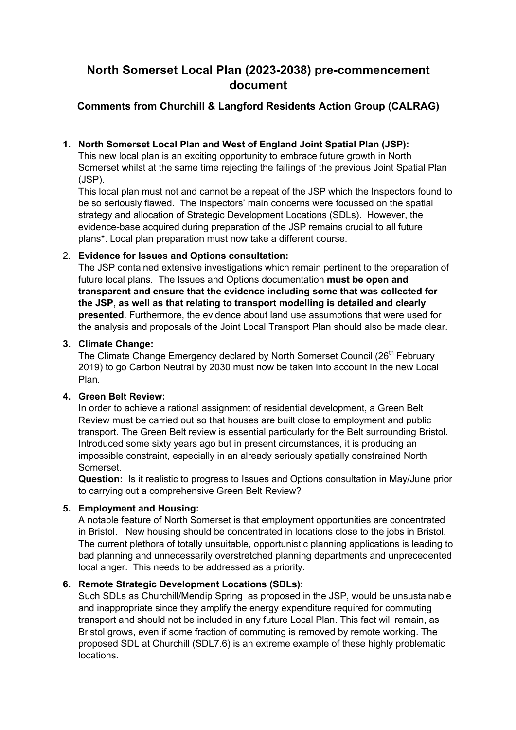# **North Somerset Local Plan (2023-2038) pre-commencement document**

# **Comments from Churchill & Langford Residents Action Group (CALRAG)**

#### **1. North Somerset Local Plan and West of England Joint Spatial Plan (JSP):**

This new local plan is an exciting opportunity to embrace future growth in North Somerset whilst at the same time rejecting the failings of the previous Joint Spatial Plan (JSP).

This local plan must not and cannot be a repeat of the JSP which the Inspectors found to be so seriously flawed. The Inspectors' main concerns were focussed on the spatial strategy and allocation of Strategic Development Locations (SDLs). However, the evidence-base acquired during preparation of the JSP remains crucial to all future plans\*. Local plan preparation must now take a different course.

#### 2. **Evidence for Issues and Options consultation:**

The JSP contained extensive investigations which remain pertinent to the preparation of future local plans. The Issues and Options documentation **must be open and transparent and ensure that the evidence including some that was collected for the JSP, as well as that relating to transport modelling is detailed and clearly presented**. Furthermore, the evidence about land use assumptions that were used for the analysis and proposals of the Joint Local Transport Plan should also be made clear.

#### **3. Climate Change:**

The Climate Change Emergency declared by North Somerset Council (26<sup>th</sup> February 2019) to go Carbon Neutral by 2030 must now be taken into account in the new Local Plan.

#### **4. Green Belt Review:**

In order to achieve a rational assignment of residential development, a Green Belt Review must be carried out so that houses are built close to employment and public transport. The Green Belt review is essential particularly for the Belt surrounding Bristol. Introduced some sixty years ago but in present circumstances, it is producing an impossible constraint, especially in an already seriously spatially constrained North Somerset.

**Question:** Is it realistic to progress to Issues and Options consultation in May/June prior to carrying out a comprehensive Green Belt Review?

## **5. Employment and Housing:**

A notable feature of North Somerset is that employment opportunities are concentrated in Bristol. New housing should be concentrated in locations close to the jobs in Bristol. The current plethora of totally unsuitable, opportunistic planning applications is leading to bad planning and unnecessarily overstretched planning departments and unprecedented local anger. This needs to be addressed as a priority.

## **6. Remote Strategic Development Locations (SDLs):**

Such SDLs as Churchill/Mendip Spring as proposed in the JSP, would be unsustainable and inappropriate since they amplify the energy expenditure required for commuting transport and should not be included in any future Local Plan. This fact will remain, as Bristol grows, even if some fraction of commuting is removed by remote working. The proposed SDL at Churchill (SDL7.6) is an extreme example of these highly problematic locations.